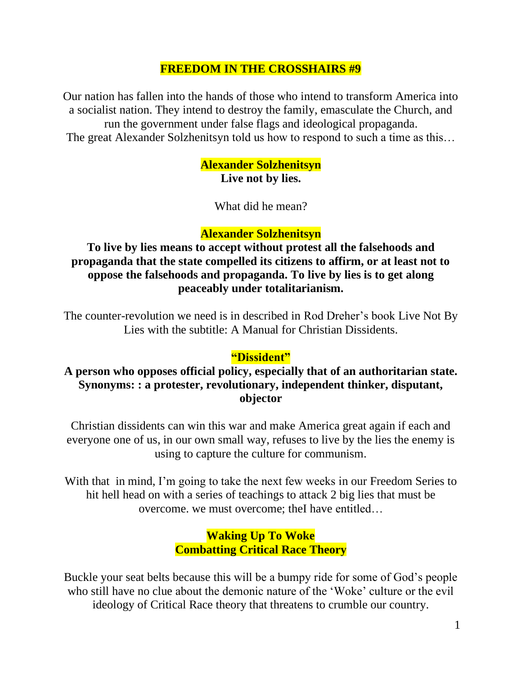#### **FREEDOM IN THE CROSSHAIRS #9**

Our nation has fallen into the hands of those who intend to transform America into a socialist nation. They intend to destroy the family, emasculate the Church, and run the government under false flags and ideological propaganda. The great Alexander Solzhenitsyn told us how to respond to such a time as this…

> **Alexander Solzhenitsyn Live not by lies.**

> > What did he mean?

#### **Alexander Solzhenitsyn**

**To live by lies means to accept without protest all the falsehoods and propaganda that the state compelled its citizens to affirm, or at least not to oppose the falsehoods and propaganda. To live by lies is to get along peaceably under totalitarianism.**

The counter-revolution we need is in described in Rod Dreher's book Live Not By Lies with the subtitle: A Manual for Christian Dissidents.

#### **"Dissident"**

#### **A person who opposes official policy, especially that of an authoritarian state. Synonyms: : a protester, revolutionary, independent thinker, disputant, objector**

Christian dissidents can win this war and make America great again if each and everyone one of us, in our own small way, refuses to live by the lies the enemy is using to capture the culture for communism.

With that in mind, I'm going to take the next few weeks in our Freedom Series to hit hell head on with a series of teachings to attack 2 big lies that must be overcome. we must overcome; theI have entitled…

#### **Waking Up To Woke Combatting Critical Race Theory**

Buckle your seat belts because this will be a bumpy ride for some of God's people who still have no clue about the demonic nature of the 'Woke' culture or the evil ideology of Critical Race theory that threatens to crumble our country.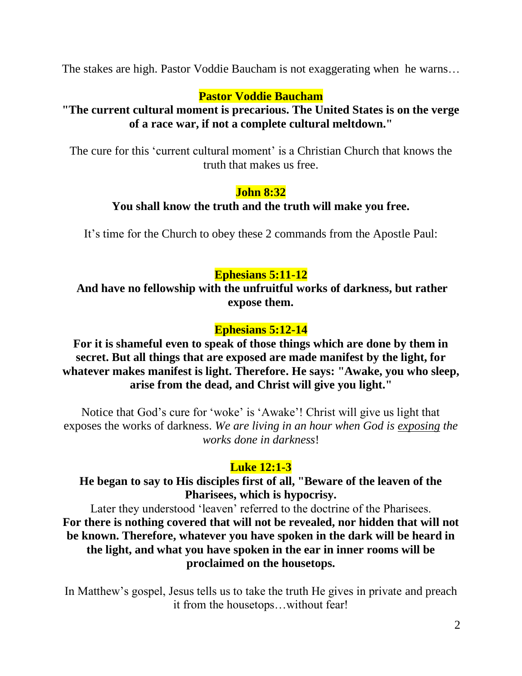The stakes are high. Pastor Voddie Baucham is not exaggerating when he warns…

# **Pastor Voddie Baucham**

#### **"The current cultural moment is precarious. The United States is on the verge of a race war, if not a complete cultural meltdown."**

The cure for this 'current cultural moment' is a Christian Church that knows the truth that makes us free.

## **John 8:32**

## **You shall know the truth and the truth will make you free.**

It's time for the Church to obey these 2 commands from the Apostle Paul:

# **Ephesians 5:11-12**

**And have no fellowship with the unfruitful works of darkness, but rather expose them.**

# **Ephesians 5:12-14**

## **For it is shameful even to speak of those things which are done by them in secret. But all things that are exposed are made manifest by the light, for whatever makes manifest is light. Therefore. He says: "Awake, you who sleep, arise from the dead, and Christ will give you light."**

Notice that God's cure for 'woke' is 'Awake'! Christ will give us light that exposes the works of darkness. *We are living in an hour when God is exposing the works done in darkness*!

# **Luke 12:1-3**

# **He began to say to His disciples first of all, "Beware of the leaven of the Pharisees, which is hypocrisy.**

Later they understood 'leaven' referred to the doctrine of the Pharisees. **For there is nothing covered that will not be revealed, nor hidden that will not be known. Therefore, whatever you have spoken in the dark will be heard in the light, and what you have spoken in the ear in inner rooms will be proclaimed on the housetops.** 

In Matthew's gospel, Jesus tells us to take the truth He gives in private and preach it from the housetops…without fear!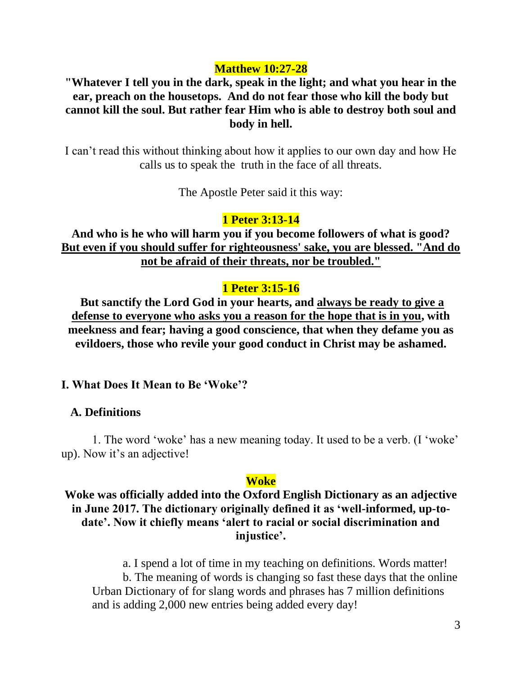#### **Matthew 10:27-28**

**"Whatever I tell you in the dark, speak in the light; and what you hear in the ear, preach on the housetops. And do not fear those who kill the body but cannot kill the soul. But rather fear Him who is able to destroy both soul and body in hell.**

I can't read this without thinking about how it applies to our own day and how He calls us to speak the truth in the face of all threats.

The Apostle Peter said it this way:

#### **1 Peter 3:13-14**

**And who is he who will harm you if you become followers of what is good? But even if you should suffer for righteousness' sake, you are blessed. "And do not be afraid of their threats, nor be troubled."** 

#### **1 Peter 3:15-16**

**But sanctify the Lord God in your hearts, and always be ready to give a defense to everyone who asks you a reason for the hope that is in you, with meekness and fear; having a good conscience, that when they defame you as evildoers, those who revile your good conduct in Christ may be ashamed.** 

**I. What Does It Mean to Be 'Woke'?**

#### **A. Definitions**

1. The word 'woke' has a new meaning today. It used to be a verb. (I 'woke' up). Now it's an adjective!

#### **Woke**

#### **Woke was officially added into the Oxford English Dictionary as an adjective in June 2017. The dictionary originally defined it as 'well-informed, up-todate'. Now it chiefly means 'alert to racial or social discrimination and injustice'.**

a. I spend a lot of time in my teaching on definitions. Words matter! b. The meaning of words is changing so fast these days that the online Urban Dictionary of for slang words and phrases has 7 million definitions and is adding 2,000 new entries being added every day!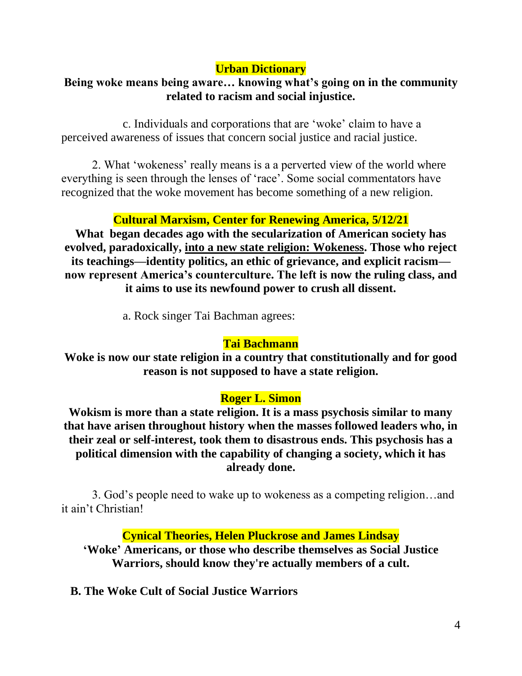# **Urban Dictionary**

# **Being woke means being aware… knowing what's going on in the community related to racism and social injustice.**

c. Individuals and corporations that are 'woke' claim to have a perceived awareness of issues that concern social justice and racial justice.

2. What 'wokeness' really means is a a perverted view of the world where everything is seen through the lenses of 'race'. Some social commentators have recognized that the woke movement has become something of a new religion.

# **Cultural Marxism, Center for Renewing America, 5/12/21**

**What began decades ago with the secularization of American society has evolved, paradoxically, into a new state religion: Wokeness. Those who reject its teachings—identity politics, an ethic of grievance, and explicit racism now represent America's counterculture. The left is now the ruling class, and it aims to use its newfound power to crush all dissent.**

a. Rock singer Tai Bachman agrees:

## **Tai Bachmann**

**Woke is now our state religion in a country that constitutionally and for good reason is not supposed to have a state religion.**

## **Roger L. Simon**

**Wokism is more than a state religion. It is a mass psychosis similar to many that have arisen throughout history when the masses followed leaders who, in their zeal or self-interest, took them to disastrous ends. This psychosis has a political dimension with the capability of changing a society, which it has already done.** 

3. God's people need to wake up to wokeness as a competing religion…and it ain't Christian!

**Cynical Theories, Helen Pluckrose and James Lindsay**

**'Woke' Americans, or those who describe themselves as Social Justice Warriors, should know they're actually members of a cult.**

 **B. The Woke Cult of Social Justice Warriors**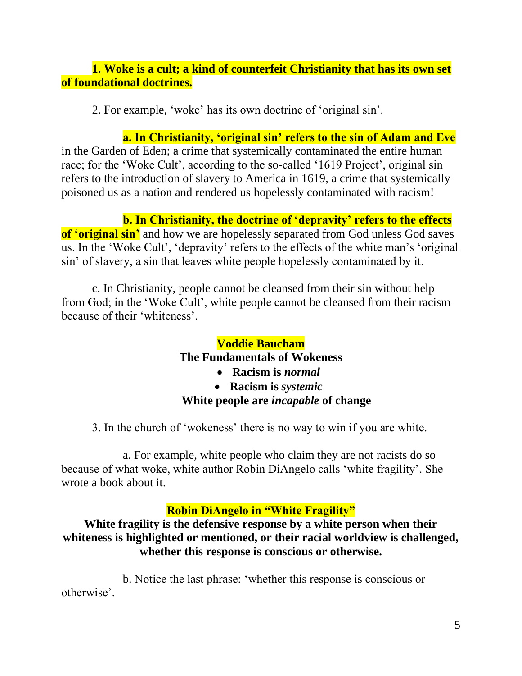## **1. Woke is a cult; a kind of counterfeit Christianity that has its own set of foundational doctrines.**

2. For example, 'woke' has its own doctrine of 'original sin'.

**a. In Christianity, 'original sin' refers to the sin of Adam and Eve** in the Garden of Eden; a crime that systemically contaminated the entire human race; for the 'Woke Cult', according to the so-called '1619 Project', original sin refers to the introduction of slavery to America in 1619, a crime that systemically poisoned us as a nation and rendered us hopelessly contaminated with racism!

# **b. In Christianity, the doctrine of 'depravity' refers to the effects**

**of 'original sin'** and how we are hopelessly separated from God unless God saves us. In the 'Woke Cult', 'depravity' refers to the effects of the white man's 'original sin' of slavery, a sin that leaves white people hopelessly contaminated by it.

c. In Christianity, people cannot be cleansed from their sin without help from God; in the 'Woke Cult', white people cannot be cleansed from their racism because of their 'whiteness'.

# **Voddie Baucham The Fundamentals of Wokeness**

- **Racism is** *normal*
- **Racism is** *systemic* **White people are** *incapable* **of change**

3. In the church of 'wokeness' there is no way to win if you are white.

a. For example, white people who claim they are not racists do so because of what woke, white author Robin DiAngelo calls 'white fragility'. She wrote a book about it.

# **Robin DiAngelo in "White Fragility"**

**White fragility is the defensive response by a white person when their whiteness is highlighted or mentioned, or their racial worldview is challenged, whether this response is conscious or otherwise.**

b. Notice the last phrase: 'whether this response is conscious or otherwise'.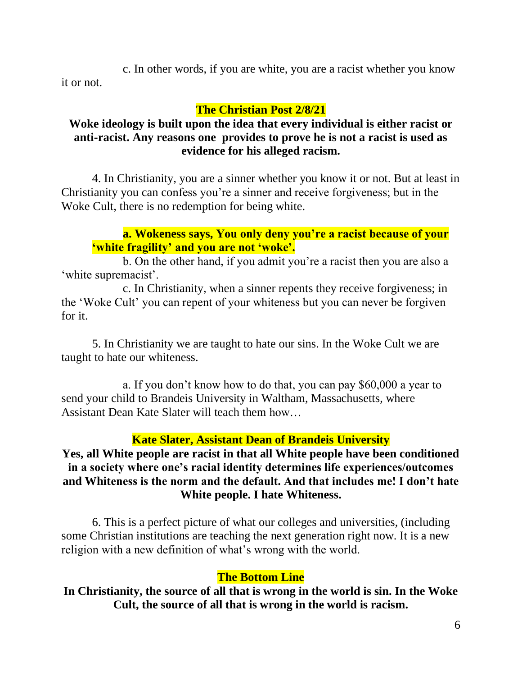c. In other words, if you are white, you are a racist whether you know it or not.

#### **The Christian Post 2/8/21**

#### **Woke ideology is built upon the idea that every individual is either racist or anti-racist. Any reasons one provides to prove he is not a racist is used as evidence for his alleged racism.**

4. In Christianity, you are a sinner whether you know it or not. But at least in Christianity you can confess you're a sinner and receive forgiveness; but in the Woke Cult, there is no redemption for being white.

#### **a. Wokeness says, You only deny you're a racist because of your 'white fragility' and you are not 'woke'.**

b. On the other hand, if you admit you're a racist then you are also a 'white supremacist'.

c. In Christianity, when a sinner repents they receive forgiveness; in the 'Woke Cult' you can repent of your whiteness but you can never be forgiven for it.

5. In Christianity we are taught to hate our sins. In the Woke Cult we are taught to hate our whiteness.

a. If you don't know how to do that, you can pay \$60,000 a year to send your child to Brandeis University in Waltham, Massachusetts, where Assistant Dean Kate Slater will teach them how…

## **Kate Slater, Assistant Dean of Brandeis University**

## **Yes, all White people are racist in that all White people have been conditioned in a society where one's racial identity determines life experiences/outcomes and Whiteness is the norm and the default. And that includes me! I don't hate White people. I hate Whiteness.**

6. This is a perfect picture of what our colleges and universities, (including some Christian institutions are teaching the next generation right now. It is a new religion with a new definition of what's wrong with the world.

## **The Bottom Line**

**In Christianity, the source of all that is wrong in the world is sin. In the Woke Cult, the source of all that is wrong in the world is racism.**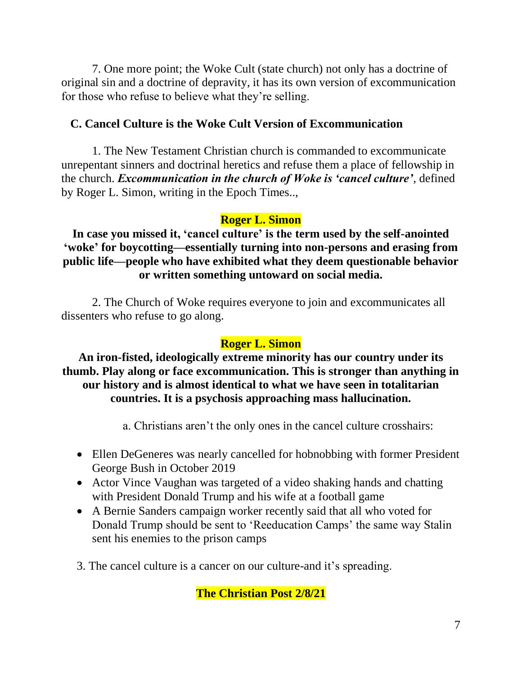7. One more point; the Woke Cult (state church) not only has a doctrine of original sin and a doctrine of depravity, it has its own version of excommunication for those who refuse to believe what they're selling.

## **C. Cancel Culture is the Woke Cult Version of Excommunication**

1. The New Testament Christian church is commanded to excommunicate unrepentant sinners and doctrinal heretics and refuse them a place of fellowship in the church. *Excommunication in the church of Woke is 'cancel culture'*, defined by Roger L. Simon, writing in the Epoch Times..,

#### **Roger L. Simon**

**In case you missed it, 'cancel culture' is the term used by the self-anointed 'woke' for boycotting—essentially turning into non-persons and erasing from public life—people who have exhibited what they deem questionable behavior or written something untoward on social media.**

2. The Church of Woke requires everyone to join and excommunicates all dissenters who refuse to go along.

#### **Roger L. Simon**

**An iron-fisted, ideologically extreme minority has our country under its thumb. Play along or face excommunication. This is stronger than anything in our history and is almost identical to what we have seen in totalitarian countries. It is a psychosis approaching mass hallucination.**

- a. Christians aren't the only ones in the cancel culture crosshairs:
- Ellen DeGeneres was nearly cancelled for hobnobbing with former President George Bush in October 2019
- Actor Vince Vaughan was targeted of a video shaking hands and chatting with President Donald Trump and his wife at a football game
- A Bernie Sanders campaign worker recently said that all who voted for Donald Trump should be sent to 'Reeducation Camps' the same way Stalin sent his enemies to the prison camps
- 3. The cancel culture is a cancer on our culture-and it's spreading.

**The Christian Post 2/8/21**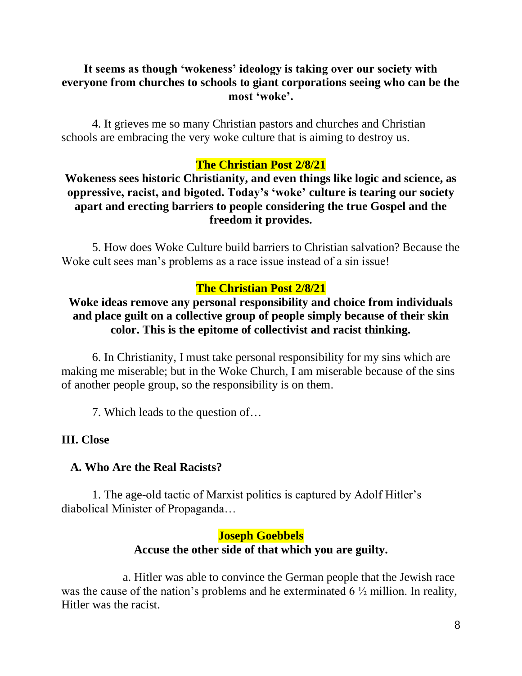#### **It seems as though 'wokeness' ideology is taking over our society with everyone from churches to schools to giant corporations seeing who can be the most 'woke'.**

4. It grieves me so many Christian pastors and churches and Christian schools are embracing the very woke culture that is aiming to destroy us.

#### **The Christian Post 2/8/21**

**Wokeness sees historic Christianity, and even things like logic and science, as oppressive, racist, and bigoted. Today's 'woke' culture is tearing our society apart and erecting barriers to people considering the true Gospel and the freedom it provides.**

5. How does Woke Culture build barriers to Christian salvation? Because the Woke cult sees man's problems as a race issue instead of a sin issue!

#### **The Christian Post 2/8/21**

#### **Woke ideas remove any personal responsibility and choice from individuals and place guilt on a collective group of people simply because of their skin color. This is the epitome of collectivist and racist thinking.**

6. In Christianity, I must take personal responsibility for my sins which are making me miserable; but in the Woke Church, I am miserable because of the sins of another people group, so the responsibility is on them.

7. Which leads to the question of…

#### **III. Close**

#### **A. Who Are the Real Racists?**

1. The age-old tactic of Marxist politics is captured by Adolf Hitler's diabolical Minister of Propaganda…

#### **Joseph Goebbels**

#### **Accuse the other side of that which you are guilty.**

a. Hitler was able to convince the German people that the Jewish race was the cause of the nation's problems and he exterminated 6 ½ million. In reality, Hitler was the racist.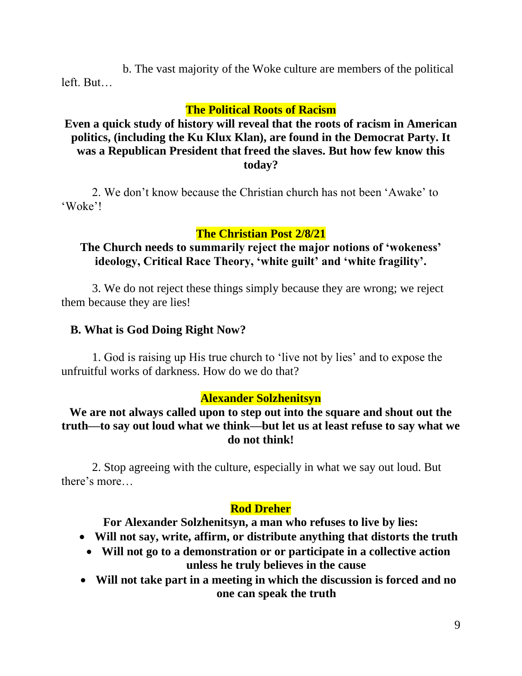b. The vast majority of the Woke culture are members of the political left. But…

#### **The Political Roots of Racism**

#### **Even a quick study of history will reveal that the roots of racism in American politics, (including the Ku Klux Klan), are found in the Democrat Party. It was a Republican President that freed the slaves. But how few know this today?**

2. We don't know because the Christian church has not been 'Awake' to 'Woke'!

#### **The Christian Post 2/8/21**

#### **The Church needs to summarily reject the major notions of 'wokeness' ideology, Critical Race Theory, 'white guilt' and 'white fragility'.**

3. We do not reject these things simply because they are wrong; we reject them because they are lies!

#### **B. What is God Doing Right Now?**

1. God is raising up His true church to 'live not by lies' and to expose the unfruitful works of darkness. How do we do that?

#### **Alexander Solzhenitsyn**

#### **We are not always called upon to step out into the square and shout out the truth—to say out loud what we think—but let us at least refuse to say what we do not think!**

2. Stop agreeing with the culture, especially in what we say out loud. But there's more…

#### **Rod Dreher**

**For Alexander Solzhenitsyn, a man who refuses to live by lies:**

- **Will not say, write, affirm, or distribute anything that distorts the truth**
	- **Will not go to a demonstration or or participate in a collective action unless he truly believes in the cause**
- **Will not take part in a meeting in which the discussion is forced and no one can speak the truth**